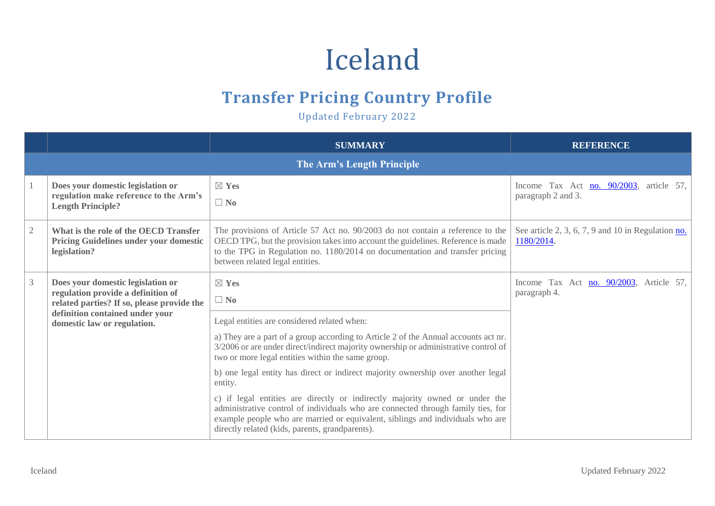## Iceland

## **Transfer Pricing Country Profile**

Updated February 2022

|            |                                                                                                                                                                                         | <b>SUMMARY</b>                                                                                                                                                                                                                                                                                                                                                                                                                                                                                                                                                                                                                                                                                                        | <b>REFERENCE</b>                                                                      |
|------------|-----------------------------------------------------------------------------------------------------------------------------------------------------------------------------------------|-----------------------------------------------------------------------------------------------------------------------------------------------------------------------------------------------------------------------------------------------------------------------------------------------------------------------------------------------------------------------------------------------------------------------------------------------------------------------------------------------------------------------------------------------------------------------------------------------------------------------------------------------------------------------------------------------------------------------|---------------------------------------------------------------------------------------|
|            |                                                                                                                                                                                         | The Arm's Length Principle                                                                                                                                                                                                                                                                                                                                                                                                                                                                                                                                                                                                                                                                                            |                                                                                       |
|            | Does your domestic legislation or<br>regulation make reference to the Arm's<br><b>Length Principle?</b>                                                                                 | $\boxtimes$ Yes<br>$\Box$ No                                                                                                                                                                                                                                                                                                                                                                                                                                                                                                                                                                                                                                                                                          | Income Tax Act no. 90/2003, article 57,<br>paragraph 2 and 3.                         |
| $\sqrt{2}$ | What is the role of the OECD Transfer<br><b>Pricing Guidelines under your domestic</b><br>legislation?                                                                                  | The provisions of Article 57 Act no. 90/2003 do not contain a reference to the<br>OECD TPG, but the provision takes into account the guidelines. Reference is made<br>to the TPG in Regulation no. 1180/2014 on documentation and transfer pricing<br>between related legal entities.                                                                                                                                                                                                                                                                                                                                                                                                                                 | See article 2, 3, 6, 7, 9 and 10 in Regulation $\underline{\text{no.}}$<br>1180/2014. |
| 3          | Does your domestic legislation or<br>regulation provide a definition of<br>related parties? If so, please provide the<br>definition contained under your<br>domestic law or regulation. | $\boxtimes$ Yes<br>$\Box$ No<br>Legal entities are considered related when:<br>a) They are a part of a group according to Article 2 of the Annual accounts act nr.<br>3/2006 or are under direct/indirect majority ownership or administrative control of<br>two or more legal entities within the same group.<br>b) one legal entity has direct or indirect majority ownership over another legal<br>entity.<br>c) if legal entities are directly or indirectly majority owned or under the<br>administrative control of individuals who are connected through family ties, for<br>example people who are married or equivalent, siblings and individuals who are<br>directly related (kids, parents, grandparents). | Income Tax Act no. 90/2003, Article 57,<br>paragraph 4.                               |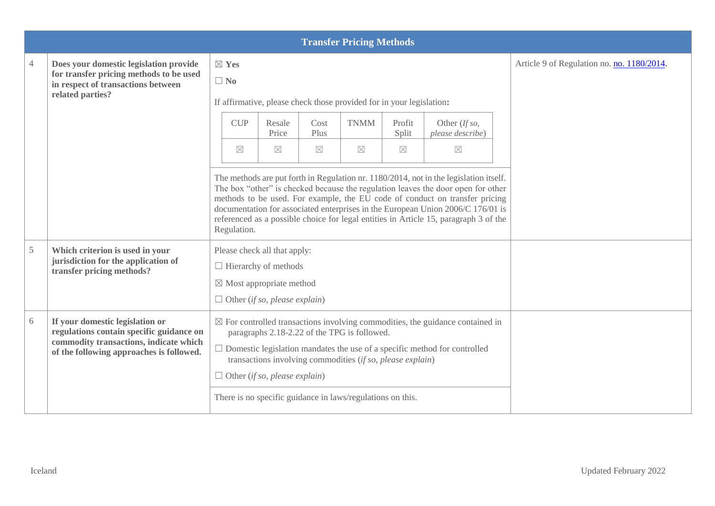| <b>Transfer Pricing Methods</b> |                                                                                                                                                                   |  |                                            |                                                                                                                                            |                     |                                                                                                                                                                          |                      |                                                                                                                                                                                                                                                                                                                                                                                                                                     |                                            |
|---------------------------------|-------------------------------------------------------------------------------------------------------------------------------------------------------------------|--|--------------------------------------------|--------------------------------------------------------------------------------------------------------------------------------------------|---------------------|--------------------------------------------------------------------------------------------------------------------------------------------------------------------------|----------------------|-------------------------------------------------------------------------------------------------------------------------------------------------------------------------------------------------------------------------------------------------------------------------------------------------------------------------------------------------------------------------------------------------------------------------------------|--------------------------------------------|
| 4                               | Does your domestic legislation provide<br>for transfer pricing methods to be used<br>in respect of transactions between<br>related parties?                       |  | $\boxtimes$ Yes<br>$\Box$ No<br><b>CUP</b> | Resale                                                                                                                                     | Cost                | If affirmative, please check those provided for in your legislation:<br><b>TNMM</b>                                                                                      | Profit               | Other (If so,                                                                                                                                                                                                                                                                                                                                                                                                                       | Article 9 of Regulation no. no. 1180/2014. |
|                                 |                                                                                                                                                                   |  | $\boxtimes$                                | Price<br>$\times$                                                                                                                          | Plus<br>$\boxtimes$ | $\times$                                                                                                                                                                 | Split<br>$\boxtimes$ | please describe)<br>$\boxtimes$                                                                                                                                                                                                                                                                                                                                                                                                     |                                            |
|                                 |                                                                                                                                                                   |  | Regulation.                                |                                                                                                                                            |                     |                                                                                                                                                                          |                      | The methods are put forth in Regulation nr. 1180/2014, not in the legislation itself.<br>The box "other" is checked because the regulation leaves the door open for other<br>methods to be used. For example, the EU code of conduct on transfer pricing<br>documentation for associated enterprises in the European Union 2006/C 176/01 is<br>referenced as a possible choice for legal entities in Article 15, paragraph 3 of the |                                            |
| $\mathfrak s$                   | Which criterion is used in your<br>jurisdiction for the application of<br>transfer pricing methods?                                                               |  |                                            | Please check all that apply:<br>$\Box$ Hierarchy of methods<br>$\boxtimes$ Most appropriate method<br>$\Box$ Other (if so, please explain) |                     |                                                                                                                                                                          |                      |                                                                                                                                                                                                                                                                                                                                                                                                                                     |                                            |
| 6                               | If your domestic legislation or<br>regulations contain specific guidance on<br>commodity transactions, indicate which<br>of the following approaches is followed. |  |                                            | $\Box$ Other (if so, please explain)                                                                                                       |                     | paragraphs 2.18-2.22 of the TPG is followed.<br>transactions involving commodities (if so, please explain)<br>There is no specific guidance in laws/regulations on this. |                      | $\boxtimes$ For controlled transactions involving commodities, the guidance contained in<br>$\Box$ Domestic legislation mandates the use of a specific method for controlled                                                                                                                                                                                                                                                        |                                            |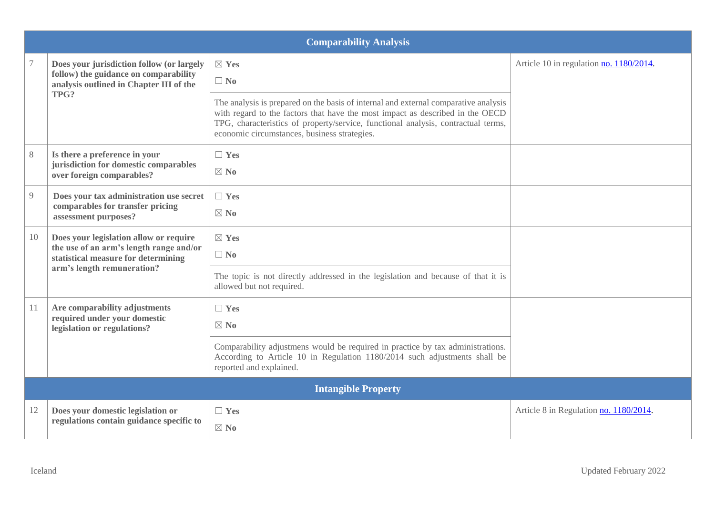|    | <b>Comparability Analysis</b>                                                                                                                          |                                                                                                                                                                                                                                                                                                           |                                         |  |  |  |  |
|----|--------------------------------------------------------------------------------------------------------------------------------------------------------|-----------------------------------------------------------------------------------------------------------------------------------------------------------------------------------------------------------------------------------------------------------------------------------------------------------|-----------------------------------------|--|--|--|--|
|    | Does your jurisdiction follow (or largely<br>follow) the guidance on comparability<br>analysis outlined in Chapter III of the<br>TPG?                  | $\boxtimes$ Yes<br>$\Box$ No                                                                                                                                                                                                                                                                              | Article 10 in regulation no. 1180/2014. |  |  |  |  |
|    |                                                                                                                                                        | The analysis is prepared on the basis of internal and external comparative analysis<br>with regard to the factors that have the most impact as described in the OECD<br>TPG, characteristics of property/service, functional analysis, contractual terms,<br>economic circumstances, business strategies. |                                         |  |  |  |  |
| 8  | Is there a preference in your<br>jurisdiction for domestic comparables<br>over foreign comparables?                                                    | $\Box$ Yes<br>$\boxtimes$ No                                                                                                                                                                                                                                                                              |                                         |  |  |  |  |
| 9  | Does your tax administration use secret<br>comparables for transfer pricing<br>assessment purposes?                                                    | $\Box$ Yes<br>$\boxtimes$ No                                                                                                                                                                                                                                                                              |                                         |  |  |  |  |
| 10 | Does your legislation allow or require<br>the use of an arm's length range and/or<br>statistical measure for determining<br>arm's length remuneration? | $\boxtimes$ Yes<br>$\Box$ No                                                                                                                                                                                                                                                                              |                                         |  |  |  |  |
|    |                                                                                                                                                        | The topic is not directly addressed in the legislation and because of that it is<br>allowed but not required.                                                                                                                                                                                             |                                         |  |  |  |  |
| 11 | Are comparability adjustments<br>required under your domestic<br>legislation or regulations?                                                           | $\Box$ Yes<br>$\boxtimes$ No                                                                                                                                                                                                                                                                              |                                         |  |  |  |  |
|    |                                                                                                                                                        | Comparability adjustmens would be required in practice by tax administrations.<br>According to Article 10 in Regulation 1180/2014 such adjustments shall be<br>reported and explained.                                                                                                                    |                                         |  |  |  |  |
|    |                                                                                                                                                        | <b>Intangible Property</b>                                                                                                                                                                                                                                                                                |                                         |  |  |  |  |
| 12 | Does your domestic legislation or<br>regulations contain guidance specific to                                                                          | $\Box$ Yes<br>$\boxtimes$ No                                                                                                                                                                                                                                                                              | Article 8 in Regulation no. 1180/2014.  |  |  |  |  |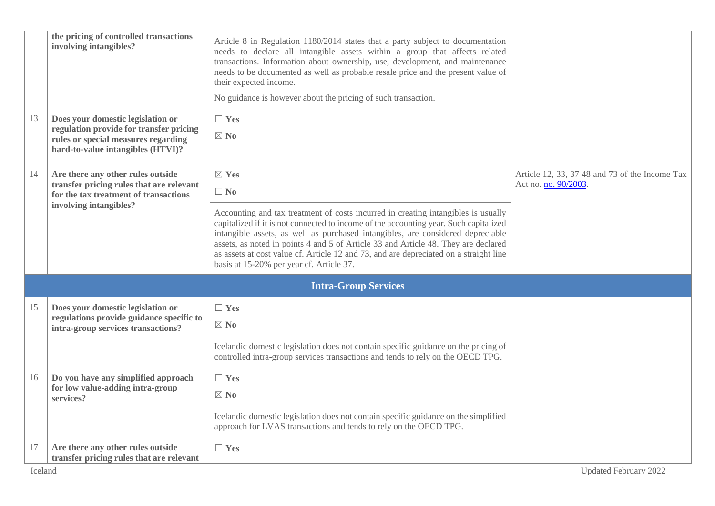|    | the pricing of controlled transactions<br>involving intangibles?                                                                                         | Article 8 in Regulation 1180/2014 states that a party subject to documentation<br>needs to declare all intangible assets within a group that affects related<br>transactions. Information about ownership, use, development, and maintenance<br>needs to be documented as well as probable resale price and the present value of<br>their expected income.<br>No guidance is however about the pricing of such transaction.                                                              |                                                                        |
|----|----------------------------------------------------------------------------------------------------------------------------------------------------------|------------------------------------------------------------------------------------------------------------------------------------------------------------------------------------------------------------------------------------------------------------------------------------------------------------------------------------------------------------------------------------------------------------------------------------------------------------------------------------------|------------------------------------------------------------------------|
| 13 | Does your domestic legislation or<br>regulation provide for transfer pricing<br>rules or special measures regarding<br>hard-to-value intangibles (HTVI)? | $\Box$ Yes<br>$\boxtimes$ No                                                                                                                                                                                                                                                                                                                                                                                                                                                             |                                                                        |
| 14 | Are there any other rules outside<br>transfer pricing rules that are relevant<br>for the tax treatment of transactions                                   | $\boxtimes$ Yes<br>$\Box$ No                                                                                                                                                                                                                                                                                                                                                                                                                                                             | Article 12, 33, 37 48 and 73 of the Income Tax<br>Act no. no. 90/2003. |
|    | involving intangibles?                                                                                                                                   | Accounting and tax treatment of costs incurred in creating intangibles is usually<br>capitalized if it is not connected to income of the accounting year. Such capitalized<br>intangible assets, as well as purchased intangibles, are considered depreciable<br>assets, as noted in points 4 and 5 of Article 33 and Article 48. They are declared<br>as assets at cost value cf. Article 12 and 73, and are depreciated on a straight line<br>basis at 15-20% per year cf. Article 37. |                                                                        |
|    |                                                                                                                                                          | <b>Intra-Group Services</b>                                                                                                                                                                                                                                                                                                                                                                                                                                                              |                                                                        |
| 15 | Does your domestic legislation or<br>regulations provide guidance specific to<br>intra-group services transactions?                                      | $\Box$ Yes<br>$\boxtimes$ No                                                                                                                                                                                                                                                                                                                                                                                                                                                             |                                                                        |
|    |                                                                                                                                                          | Icelandic domestic legislation does not contain specific guidance on the pricing of<br>controlled intra-group services transactions and tends to rely on the OECD TPG.                                                                                                                                                                                                                                                                                                                   |                                                                        |
| 16 | Do you have any simplified approach<br>for low value-adding intra-group<br>services?                                                                     | $\Box$ Yes<br>$\boxtimes$ No                                                                                                                                                                                                                                                                                                                                                                                                                                                             |                                                                        |
|    |                                                                                                                                                          | Icelandic domestic legislation does not contain specific guidance on the simplified<br>approach for LVAS transactions and tends to rely on the OECD TPG.                                                                                                                                                                                                                                                                                                                                 |                                                                        |
| 17 | Are there any other rules outside<br>transfer pricing rules that are relevant                                                                            | $\Box$ Yes                                                                                                                                                                                                                                                                                                                                                                                                                                                                               |                                                                        |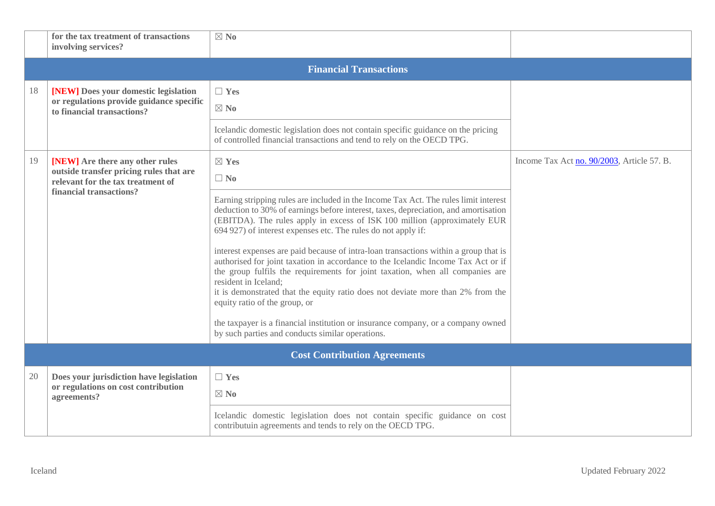|    | for the tax treatment of transactions<br>involving services?                                                                               | $\boxtimes$ No                                                                                                                                                                                                                                                                                                                                                                                                                                                                                                                                                                                                                                                                                                                      |                                            |  |  |  |  |
|----|--------------------------------------------------------------------------------------------------------------------------------------------|-------------------------------------------------------------------------------------------------------------------------------------------------------------------------------------------------------------------------------------------------------------------------------------------------------------------------------------------------------------------------------------------------------------------------------------------------------------------------------------------------------------------------------------------------------------------------------------------------------------------------------------------------------------------------------------------------------------------------------------|--------------------------------------------|--|--|--|--|
|    |                                                                                                                                            | <b>Financial Transactions</b>                                                                                                                                                                                                                                                                                                                                                                                                                                                                                                                                                                                                                                                                                                       |                                            |  |  |  |  |
| 18 | [NEW] Does your domestic legislation<br>or regulations provide guidance specific<br>to financial transactions?                             | $\Box$ Yes<br>$\boxtimes$ No                                                                                                                                                                                                                                                                                                                                                                                                                                                                                                                                                                                                                                                                                                        |                                            |  |  |  |  |
|    |                                                                                                                                            | Icelandic domestic legislation does not contain specific guidance on the pricing<br>of controlled financial transactions and tend to rely on the OECD TPG.                                                                                                                                                                                                                                                                                                                                                                                                                                                                                                                                                                          |                                            |  |  |  |  |
| 19 | [NEW] Are there any other rules<br>outside transfer pricing rules that are<br>relevant for the tax treatment of<br>financial transactions? | $\boxtimes$ Yes<br>$\Box$ No                                                                                                                                                                                                                                                                                                                                                                                                                                                                                                                                                                                                                                                                                                        | Income Tax Act no. 90/2003, Article 57. B. |  |  |  |  |
|    |                                                                                                                                            | Earning stripping rules are included in the Income Tax Act. The rules limit interest<br>deduction to 30% of earnings before interest, taxes, depreciation, and amortisation<br>(EBITDA). The rules apply in excess of ISK 100 million (approximately EUR<br>694 927) of interest expenses etc. The rules do not apply if:<br>interest expenses are paid because of intra-loan transactions within a group that is<br>authorised for joint taxation in accordance to the Icelandic Income Tax Act or if<br>the group fulfils the requirements for joint taxation, when all companies are<br>resident in Iceland;<br>it is demonstrated that the equity ratio does not deviate more than 2% from the<br>equity ratio of the group, or |                                            |  |  |  |  |
|    |                                                                                                                                            | the taxpayer is a financial institution or insurance company, or a company owned<br>by such parties and conducts similar operations.                                                                                                                                                                                                                                                                                                                                                                                                                                                                                                                                                                                                |                                            |  |  |  |  |
|    | <b>Cost Contribution Agreements</b>                                                                                                        |                                                                                                                                                                                                                                                                                                                                                                                                                                                                                                                                                                                                                                                                                                                                     |                                            |  |  |  |  |
| 20 | Does your jurisdiction have legislation<br>or regulations on cost contribution<br>agreements?                                              | $\Box$ Yes<br>$\boxtimes$ No                                                                                                                                                                                                                                                                                                                                                                                                                                                                                                                                                                                                                                                                                                        |                                            |  |  |  |  |
|    |                                                                                                                                            | Icelandic domestic legislation does not contain specific guidance on cost<br>contributuin agreements and tends to rely on the OECD TPG.                                                                                                                                                                                                                                                                                                                                                                                                                                                                                                                                                                                             |                                            |  |  |  |  |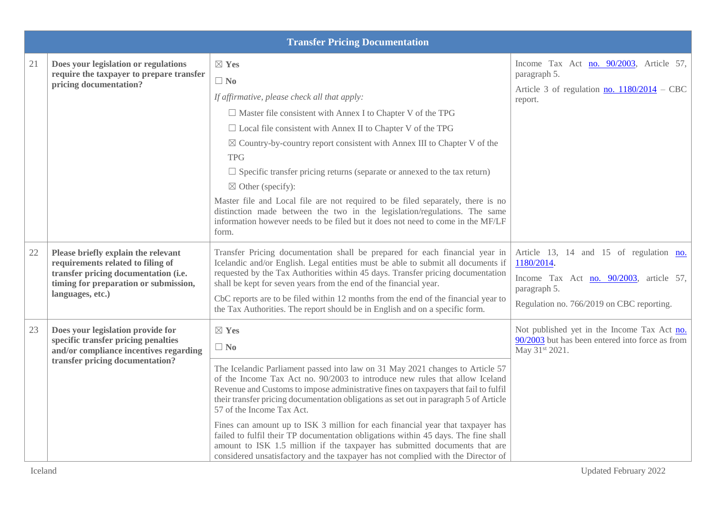|    |                                                                                                                                                                               | <b>Transfer Pricing Documentation</b>                                                                                                                                                                                                                                                                                                                                                                                                                                                                                                                                                                                                                                                                               |                                                                                                                                                               |
|----|-------------------------------------------------------------------------------------------------------------------------------------------------------------------------------|---------------------------------------------------------------------------------------------------------------------------------------------------------------------------------------------------------------------------------------------------------------------------------------------------------------------------------------------------------------------------------------------------------------------------------------------------------------------------------------------------------------------------------------------------------------------------------------------------------------------------------------------------------------------------------------------------------------------|---------------------------------------------------------------------------------------------------------------------------------------------------------------|
| 21 | Does your legislation or regulations<br>require the taxpayer to prepare transfer<br>pricing documentation?                                                                    | $\boxtimes$ Yes                                                                                                                                                                                                                                                                                                                                                                                                                                                                                                                                                                                                                                                                                                     | Income Tax Act no. $90/2003$ , Article 57,<br>paragraph 5.                                                                                                    |
|    |                                                                                                                                                                               | $\Box$ No<br>If affirmative, please check all that apply:                                                                                                                                                                                                                                                                                                                                                                                                                                                                                                                                                                                                                                                           | Article 3 of regulation no. $1180/2014$ – CBC<br>report.                                                                                                      |
|    |                                                                                                                                                                               | $\Box$ Master file consistent with Annex I to Chapter V of the TPG                                                                                                                                                                                                                                                                                                                                                                                                                                                                                                                                                                                                                                                  |                                                                                                                                                               |
|    |                                                                                                                                                                               | $\Box$ Local file consistent with Annex II to Chapter V of the TPG                                                                                                                                                                                                                                                                                                                                                                                                                                                                                                                                                                                                                                                  |                                                                                                                                                               |
|    |                                                                                                                                                                               | $\boxtimes$ Country-by-country report consistent with Annex III to Chapter V of the                                                                                                                                                                                                                                                                                                                                                                                                                                                                                                                                                                                                                                 |                                                                                                                                                               |
|    |                                                                                                                                                                               | <b>TPG</b>                                                                                                                                                                                                                                                                                                                                                                                                                                                                                                                                                                                                                                                                                                          |                                                                                                                                                               |
|    |                                                                                                                                                                               | $\Box$ Specific transfer pricing returns (separate or annexed to the tax return)                                                                                                                                                                                                                                                                                                                                                                                                                                                                                                                                                                                                                                    |                                                                                                                                                               |
|    |                                                                                                                                                                               | $\boxtimes$ Other (specify):                                                                                                                                                                                                                                                                                                                                                                                                                                                                                                                                                                                                                                                                                        |                                                                                                                                                               |
|    |                                                                                                                                                                               | Master file and Local file are not required to be filed separately, there is no<br>distinction made between the two in the legislation/regulations. The same<br>information however needs to be filed but it does not need to come in the MF/LF<br>form.                                                                                                                                                                                                                                                                                                                                                                                                                                                            |                                                                                                                                                               |
| 22 | Please briefly explain the relevant<br>requirements related to filing of<br>transfer pricing documentation (i.e.<br>timing for preparation or submission,<br>languages, etc.) | Transfer Pricing documentation shall be prepared for each financial year in<br>Icelandic and/or English. Legal entities must be able to submit all documents if<br>requested by the Tax Authorities within 45 days. Transfer pricing documentation<br>shall be kept for seven years from the end of the financial year.<br>CbC reports are to be filed within 12 months from the end of the financial year to                                                                                                                                                                                                                                                                                                       | Article 13, 14 and 15 of regulation no.<br>1180/2014.<br>Income Tax Act no. 90/2003, article 57,<br>paragraph 5.<br>Regulation no. 766/2019 on CBC reporting. |
|    |                                                                                                                                                                               | the Tax Authorities. The report should be in English and on a specific form.                                                                                                                                                                                                                                                                                                                                                                                                                                                                                                                                                                                                                                        |                                                                                                                                                               |
| 23 | Does your legislation provide for<br>specific transfer pricing penalties<br>and/or compliance incentives regarding                                                            | $\boxtimes$ Yes                                                                                                                                                                                                                                                                                                                                                                                                                                                                                                                                                                                                                                                                                                     | Not published yet in the Income Tax Act no.                                                                                                                   |
|    |                                                                                                                                                                               | $\Box$ No                                                                                                                                                                                                                                                                                                                                                                                                                                                                                                                                                                                                                                                                                                           | 90/2003 but has been entered into force as from<br>May 31st 2021.                                                                                             |
|    | transfer pricing documentation?                                                                                                                                               | The Icelandic Parliament passed into law on 31 May 2021 changes to Article 57<br>of the Income Tax Act no. 90/2003 to introduce new rules that allow Iceland<br>Revenue and Customs to impose administrative fines on taxpayers that fail to fulfil<br>their transfer pricing documentation obligations as set out in paragraph 5 of Article<br>57 of the Income Tax Act.<br>Fines can amount up to ISK 3 million for each financial year that taxpayer has<br>failed to fulfil their TP documentation obligations within 45 days. The fine shall<br>amount to ISK 1.5 million if the taxpayer has submitted documents that are<br>considered unsatisfactory and the taxpayer has not complied with the Director of |                                                                                                                                                               |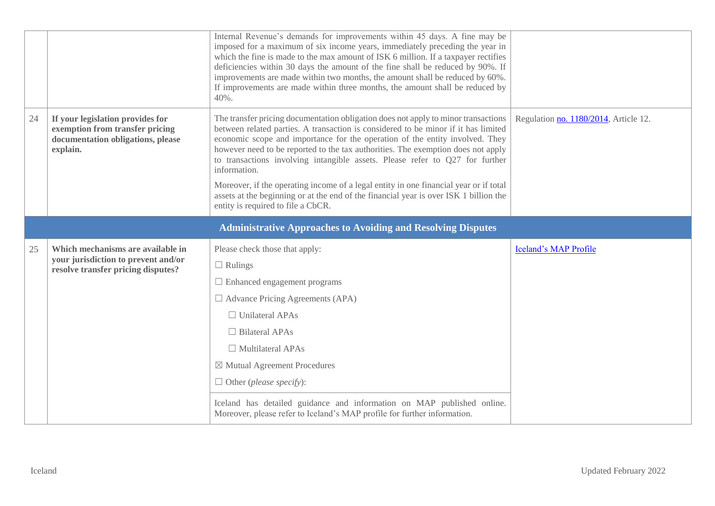|    |                                                                                                                      | Internal Revenue's demands for improvements within 45 days. A fine may be<br>imposed for a maximum of six income years, immediately preceding the year in<br>which the fine is made to the max amount of ISK 6 million. If a taxpayer rectifies<br>deficiencies within 30 days the amount of the fine shall be reduced by 90%. If<br>improvements are made within two months, the amount shall be reduced by 60%.<br>If improvements are made within three months, the amount shall be reduced by<br>40%. |                                       |
|----|----------------------------------------------------------------------------------------------------------------------|-----------------------------------------------------------------------------------------------------------------------------------------------------------------------------------------------------------------------------------------------------------------------------------------------------------------------------------------------------------------------------------------------------------------------------------------------------------------------------------------------------------|---------------------------------------|
| 24 | If your legislation provides for<br>exemption from transfer pricing<br>documentation obligations, please<br>explain. | The transfer pricing documentation obligation does not apply to minor transactions<br>between related parties. A transaction is considered to be minor if it has limited<br>economic scope and importance for the operation of the entity involved. They<br>however need to be reported to the tax authorities. The exemption does not apply<br>to transactions involving intangible assets. Please refer to Q27 for further<br>information.                                                              | Regulation no. 1180/2014, Article 12. |
|    |                                                                                                                      | Moreover, if the operating income of a legal entity in one financial year or if total<br>assets at the beginning or at the end of the financial year is over ISK 1 billion the<br>entity is required to file a CbCR.                                                                                                                                                                                                                                                                                      |                                       |
|    |                                                                                                                      | <b>Administrative Approaches to Avoiding and Resolving Disputes</b>                                                                                                                                                                                                                                                                                                                                                                                                                                       |                                       |
| 25 | Which mechanisms are available in<br>your jurisdiction to prevent and/or<br>resolve transfer pricing disputes?       | Please check those that apply:<br>$\Box$ Rulings                                                                                                                                                                                                                                                                                                                                                                                                                                                          | Iceland's MAP Profile                 |
|    |                                                                                                                      | $\Box$ Enhanced engagement programs                                                                                                                                                                                                                                                                                                                                                                                                                                                                       |                                       |
|    |                                                                                                                      | $\Box$ Advance Pricing Agreements (APA)                                                                                                                                                                                                                                                                                                                                                                                                                                                                   |                                       |
|    |                                                                                                                      | $\Box$ Unilateral APAs                                                                                                                                                                                                                                                                                                                                                                                                                                                                                    |                                       |
|    |                                                                                                                      | $\Box$ Bilateral APAs                                                                                                                                                                                                                                                                                                                                                                                                                                                                                     |                                       |
|    |                                                                                                                      | $\Box$ Multilateral APAs                                                                                                                                                                                                                                                                                                                                                                                                                                                                                  |                                       |
|    |                                                                                                                      | $\boxtimes$ Mutual Agreement Procedures                                                                                                                                                                                                                                                                                                                                                                                                                                                                   |                                       |
|    |                                                                                                                      | $\Box$ Other ( <i>please specify</i> ):                                                                                                                                                                                                                                                                                                                                                                                                                                                                   |                                       |
|    |                                                                                                                      | Iceland has detailed guidance and information on MAP published online.<br>Moreover, please refer to Iceland's MAP profile for further information.                                                                                                                                                                                                                                                                                                                                                        |                                       |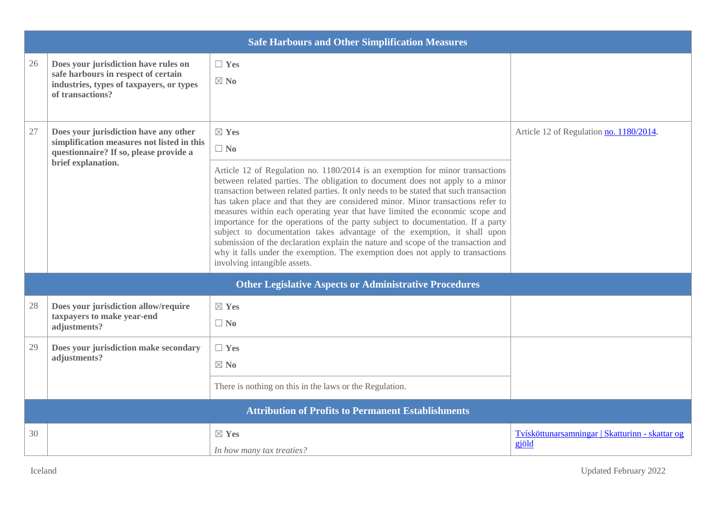|    | <b>Safe Harbours and Other Simplification Measures</b>                                                                                              |                                                                                                                                                                                                                                                                                                                                                                                                                                                                                                                                                                                                                                                                                                                                                                                                                                  |                                                          |  |  |  |  |
|----|-----------------------------------------------------------------------------------------------------------------------------------------------------|----------------------------------------------------------------------------------------------------------------------------------------------------------------------------------------------------------------------------------------------------------------------------------------------------------------------------------------------------------------------------------------------------------------------------------------------------------------------------------------------------------------------------------------------------------------------------------------------------------------------------------------------------------------------------------------------------------------------------------------------------------------------------------------------------------------------------------|----------------------------------------------------------|--|--|--|--|
| 26 | Does your jurisdiction have rules on<br>safe harbours in respect of certain<br>industries, types of taxpayers, or types<br>of transactions?         | $\Box$ Yes<br>$\boxtimes$ No                                                                                                                                                                                                                                                                                                                                                                                                                                                                                                                                                                                                                                                                                                                                                                                                     |                                                          |  |  |  |  |
| 27 | Does your jurisdiction have any other<br>simplification measures not listed in this<br>questionnaire? If so, please provide a<br>brief explanation. | $\boxtimes$ Yes<br>$\Box$ No<br>Article 12 of Regulation no. 1180/2014 is an exemption for minor transactions<br>between related parties. The obligation to document does not apply to a minor<br>transaction between related parties. It only needs to be stated that such transaction<br>has taken place and that they are considered minor. Minor transactions refer to<br>measures within each operating year that have limited the economic scope and<br>importance for the operations of the party subject to documentation. If a party<br>subject to documentation takes advantage of the exemption, it shall upon<br>submission of the declaration explain the nature and scope of the transaction and<br>why it falls under the exemption. The exemption does not apply to transactions<br>involving intangible assets. | Article 12 of Regulation no. 1180/2014.                  |  |  |  |  |
|    |                                                                                                                                                     | <b>Other Legislative Aspects or Administrative Procedures</b>                                                                                                                                                                                                                                                                                                                                                                                                                                                                                                                                                                                                                                                                                                                                                                    |                                                          |  |  |  |  |
| 28 | Does your jurisdiction allow/require<br>taxpayers to make year-end<br>adjustments?                                                                  | $\boxtimes$ Yes<br>$\Box$ No                                                                                                                                                                                                                                                                                                                                                                                                                                                                                                                                                                                                                                                                                                                                                                                                     |                                                          |  |  |  |  |
| 29 | Does your jurisdiction make secondary<br>adjustments?                                                                                               | $\Box$ Yes<br>$\boxtimes$ No<br>There is nothing on this in the laws or the Regulation.                                                                                                                                                                                                                                                                                                                                                                                                                                                                                                                                                                                                                                                                                                                                          |                                                          |  |  |  |  |
|    |                                                                                                                                                     | <b>Attribution of Profits to Permanent Establishments</b>                                                                                                                                                                                                                                                                                                                                                                                                                                                                                                                                                                                                                                                                                                                                                                        |                                                          |  |  |  |  |
| 30 |                                                                                                                                                     | $\boxtimes$ Yes<br>In how many tax treaties?                                                                                                                                                                                                                                                                                                                                                                                                                                                                                                                                                                                                                                                                                                                                                                                     | Tvísköttunarsamningar   Skatturinn - skattar og<br>gjöld |  |  |  |  |